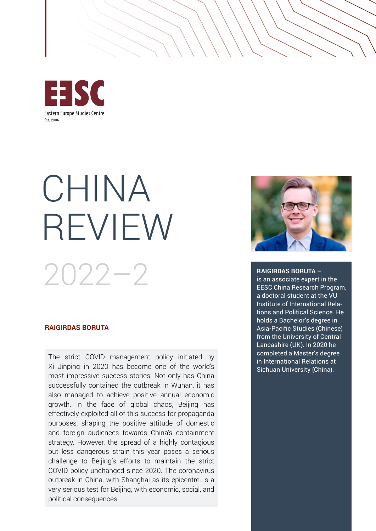

# CHINA REVIEW 2022–2

#### **RAIGIRDAS BORUTA**

The strict COVID management policy initiated by Xi Jinping in 2020 has become one of the world's most impressive success stories: Not only has China successfully contained the outbreak in Wuhan, it has also managed to achieve positive annual economic growth. In the face of global chaos, Beijing has effectively exploited all of this success for propaganda purposes, shaping the positive attitude of domestic and foreign audiences towards China's containment strategy. However, the spread of a highly contagious but less dangerous strain this year poses a serious challenge to Beijing's efforts to maintain the strict COVID policy unchanged since 2020. The coronavirus outbreak in China, with Shanghai as its epicentre, is a very serious test for Beijing, with economic, social, and political consequences.



#### **RAIGIRDAS BORUTA –**

is an associate expert in the EESC China Research Program, a doctoral student at the VU Institute of International Relations and Political Science. He holds a Bachelor's degree in Asia-Pacific Studies (Chinese) from the University of Central Lancashire (UK). In 2020 he completed a Master's degree in International Relations at Sichuan University (China).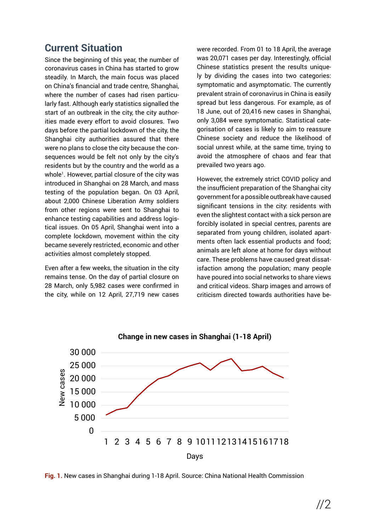#### **Current Situation**

Since the beginning of this year, the number of coronavirus cases in China has started to grow steadily. In March, the main focus was placed on China's financial and trade centre, Shanghai, where the number of cases had risen particularly fast. Although early statistics signalled the start of an outbreak in the city, the city authorities made every effort to avoid closures. Two days before the partial lockdown of the city, the Shanghai city authorities assured that there were no plans to close the city because the consequences would be felt not only by the city's residents but by the country and the world as a whole<sup>1</sup>. However, partial closure of the city was introduced in Shanghai on 28 March, and mass testing of the population began. On 03 April, about 2,000 Chinese Liberation Army soldiers from other regions were sent to Shanghai to enhance testing capabilities and address logistical issues. On 05 April, Shanghai went into a complete lockdown, movement within the city became severely restricted, economic and other activities almost completely stopped.

Even after a few weeks, the situation in the city remains tense. On the day of partial closure on 28 March, only 5,982 cases were confirmed in the city, while on 12 April, 27,719 new cases were recorded. From 01 to 18 April, the average was 20,071 cases per day. Interestingly, official Chinese statistics present the results uniquely by dividing the cases into two categories: symptomatic and asymptomatic. The currently prevalent strain of coronavirus in China is easily spread but less dangerous. For example, as of 18 June, out of 20,416 new cases in Shanghai, only 3,084 were symptomatic. Statistical categorisation of cases is likely to aim to reassure Chinese society and reduce the likelihood of social unrest while, at the same time, trying to avoid the atmosphere of chaos and fear that prevailed two years ago.

However, the extremely strict COVID policy and the insufficient preparation of the Shanghai city government for a possible outbreak have caused significant tensions in the city: residents with even the slightest contact with a sick person are forcibly isolated in special centres, parents are separated from young children, isolated apartments often lack essential products and food; animals are left alone at home for days without care. These problems have caused great dissatisfaction among the population; many people have poured into social networks to share views and critical videos. Sharp images and arrows of criticism directed towards authorities have be-



**Fig. 1.** New cases in Shanghai during 1-18 April. Source: China National Health Commission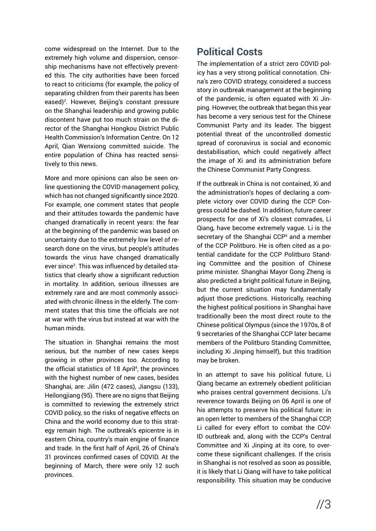come widespread on the Internet. Due to the extremely high volume and dispersion, censorship mechanisms have not effectively prevented this. The city authorities have been forced to react to criticisms (for example, the policy of separating children from their parents has been eased)<sup>2</sup>. However, Beijing's constant pressure on the Shanghai leadership and growing public discontent have put too much strain on the director of the Shanghai Hongkou District Public Health Commission's Information Centre. On 12 April, Qian Wenxiong committed suicide. The entire population of China has reacted sensitively to this news.

More and more opinions can also be seen online questioning the COVID management policy, which has not changed significantly since 2020. For example, one comment states that people and their attitudes towards the pandemic have changed dramatically in recent years: the fear at the beginning of the pandemic was based on uncertainty due to the extremely low level of research done on the virus, but people's attitudes towards the virus have changed dramatically ever since<sup>3</sup>. This was influenced by detailed statistics that clearly show a significant reduction in mortality. In addition, serious illnesses are extremely rare and are most commonly associated with chronic illness in the elderly. The comment states that this time the officials are not at war with the virus but instead at war with the human minds.

The situation in Shanghai remains the most serious, but the number of new cases keeps growing in other provinces too. According to the official statistics of 18 April<sup>4</sup>, the provinces with the highest number of new cases, besides Shanghai, are: Jilin (472 cases), Jiangsu (133), Heilongjiang (95). There are no signs that Beijing is committed to reviewing the extremely strict COVID policy, so the risks of negative effects on China and the world economy due to this strategy remain high. The outbreak's epicentre is in eastern China, country's main engine of finance and trade. In the first half of April, 26 of China's 31 provinces confirmed cases of COVID. At the beginning of March, there were only 12 such provinces.

### **Political Costs**

The implementation of a strict zero COVID policy has a very strong political connotation. China's zero COVID strategy, considered a success story in outbreak management at the beginning of the pandemic, is often equated with Xi Jinping. However, the outbreak that began this year has become a very serious test for the Chinese Communist Party and its leader. The biggest potential threat of the uncontrolled domestic spread of coronavirus is social and economic destabilisation, which could negatively affect the image of Xi and its administration before the Chinese Communist Party Congress.

If the outbreak in China is not contained, Xi and the administration's hopes of declaring a complete victory over COVID during the CCP Congress could be dashed. In addition, future career prospects for one of Xi's closest comrades, Li Qiang, have become extremely vague. Li is the secretary of the Shanghai CCP<sup>5</sup> and a member of the CCP Politburo. He is often cited as a potential candidate for the CCP Politburo Standing Committee and the position of Chinese prime minister. Shanghai Mayor Gong Zheng is also predicted a bright political future in Beijing, but the current situation may fundamentally adjust those predictions. Historically, reaching the highest political positions in Shanghai have traditionally been the most direct route to the Chinese political Olympus (since the 1970s, 8 of 9 secretaries of the Shanghai CCP later became members of the Politburo Standing Committee, including Xi Jinping himself), but this tradition may be broken.

In an attempt to save his political future, Li Qiang became an extremely obedient politician who praises central government decisions. Li's reverence towards Beijing on 06 April is one of his attempts to preserve his political future: in an open letter to members of the Shanghai CCP, Li called for every effort to combat the COV-ID outbreak and, along with the CCP's Central Committee and Xi Jinping at its core, to overcome these significant challenges. If the crisis in Shanghai is not resolved as soon as possible, it is likely that Li Qiang will have to take political responsibility. This situation may be conducive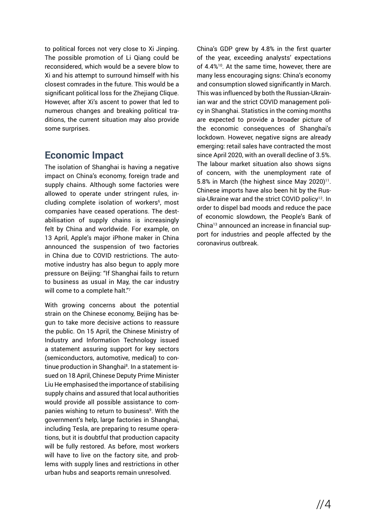to political forces not very close to Xi Jinping. The possible promotion of Li Qiang could be reconsidered, which would be a severe blow to Xi and his attempt to surround himself with his closest comrades in the future. This would be a significant political loss for the Zhejiang Clique. However, after Xi's ascent to power that led to numerous changes and breaking political traditions, the current situation may also provide some surprises.

## **Economic Impact**

The isolation of Shanghai is having a negative impact on China's economy, foreign trade and supply chains. Although some factories were allowed to operate under stringent rules, including complete isolation of workers<sup>6</sup>, most companies have ceased operations. The destabilisation of supply chains is increasingly felt by China and worldwide. For example, on 13 April, Apple's major iPhone maker in China announced the suspension of two factories in China due to COVID restrictions. The automotive industry has also begun to apply more pressure on Beijing: "If Shanghai fails to return to business as usual in May, the car industry will come to a complete halt."7

With growing concerns about the potential strain on the Chinese economy, Beijing has begun to take more decisive actions to reassure the public. On 15 April, the Chinese Ministry of Industry and Information Technology issued a statement assuring support for key sectors (semiconductors, automotive, medical) to continue production in Shanghai<sup>8</sup>. In a statement issued on 18 April, Chinese Deputy Prime Minister Liu He emphasised the importance of stabilising supply chains and assured that local authorities would provide all possible assistance to companies wishing to return to business<sup>9</sup>. With the government's help, large factories in Shanghai, including Tesla, are preparing to resume operations, but it is doubtful that production capacity will be fully restored. As before, most workers will have to live on the factory site, and problems with supply lines and restrictions in other urban hubs and seaports remain unresolved.

China's GDP grew by 4.8% in the first quarter of the year, exceeding analysts' expectations of 4.4%10. At the same time, however, there are many less encouraging signs: China's economy and consumption slowed significantly in March. This was influenced by both the Russian-Ukrainian war and the strict COVID management policy in Shanghai. Statistics in the coming months are expected to provide a broader picture of the economic consequences of Shanghai's lockdown. However, negative signs are already emerging: retail sales have contracted the most since April 2020, with an overall decline of 3.5%. The labour market situation also shows signs of concern, with the unemployment rate of 5.8% in March (the highest since May 2020) $11$ . Chinese imports have also been hit by the Russia-Ukraine war and the strict COVID policy<sup>12</sup>. In order to dispel bad moods and reduce the pace of economic slowdown, the People's Bank of China13 announced an increase in financial support for industries and people affected by the coronavirus outbreak.